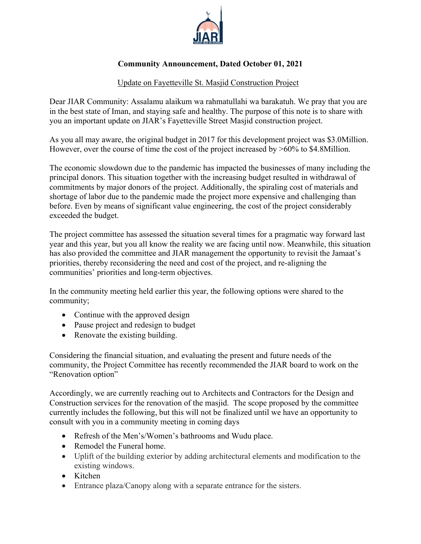

## **Community Announcement, Dated October 01, 2021**

## Update on Fayetteville St. Masjid Construction Project

Dear JIAR Community: Assalamu alaikum wa rahmatullahi wa barakatuh. We pray that you are in the best state of Iman, and staying safe and healthy. The purpose of this note is to share with you an important update on JIAR's Fayetteville Street Masjid construction project.

As you all may aware, the original budget in 2017 for this development project was \$3.0Million. However, over the course of time the cost of the project increased by  $>60\%$  to \$4.8Million.

The economic slowdown due to the pandemic has impacted the businesses of many including the principal donors. This situation together with the increasing budget resulted in withdrawal of commitments by major donors of the project. Additionally, the spiraling cost of materials and shortage of labor due to the pandemic made the project more expensive and challenging than before. Even by means of significant value engineering, the cost of the project considerably exceeded the budget.

The project committee has assessed the situation several times for a pragmatic way forward last year and this year, but you all know the reality we are facing until now. Meanwhile, this situation has also provided the committee and JIAR management the opportunity to revisit the Jamaat's priorities, thereby reconsidering the need and cost of the project, and re-aligning the communities' priorities and long-term objectives.

In the community meeting held earlier this year, the following options were shared to the community;

- Continue with the approved design
- Pause project and redesign to budget
- Renovate the existing building.

Considering the financial situation, and evaluating the present and future needs of the community, the Project Committee has recently recommended the JIAR board to work on the "Renovation option"

Accordingly, we are currently reaching out to Architects and Contractors for the Design and Construction services for the renovation of the masjid. The scope proposed by the committee currently includes the following, but this will not be finalized until we have an opportunity to consult with you in a community meeting in coming days

- Refresh of the Men's/Women's bathrooms and Wudu place.
- Remodel the Funeral home.
- Uplift of the building exterior by adding architectural elements and modification to the existing windows.
- Kitchen
- Entrance plaza/Canopy along with a separate entrance for the sisters.